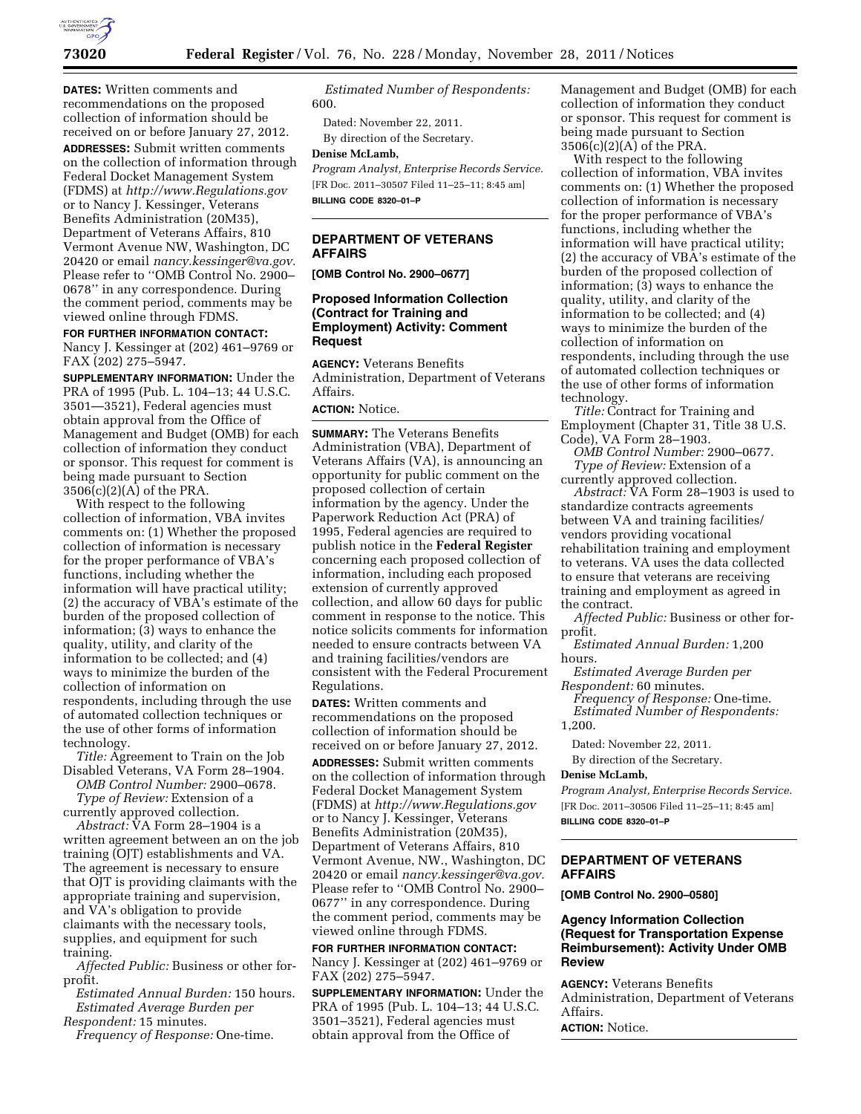

**DATES:** Written comments and recommendations on the proposed collection of information should be received on or before January 27, 2012.

**ADDRESSES:** Submit written comments on the collection of information through Federal Docket Management System (FDMS) at *<http://www.Regulations.gov>*  or to Nancy J. Kessinger, Veterans Benefits Administration (20M35), Department of Veterans Affairs, 810 Vermont Avenue NW, Washington, DC 20420 or email *[nancy.kessinger@va.gov.](mailto:nancy.kessinger@va.gov)*  Please refer to ''OMB Control No. 2900– 0678'' in any correspondence. During the comment period, comments may be viewed online through FDMS.

#### **FOR FURTHER INFORMATION CONTACT:**

Nancy J. Kessinger at (202) 461–9769 or FAX (202) 275–5947.

**SUPPLEMENTARY INFORMATION:** Under the PRA of 1995 (Pub. L. 104–13; 44 U.S.C. 3501—3521), Federal agencies must obtain approval from the Office of Management and Budget (OMB) for each collection of information they conduct or sponsor. This request for comment is being made pursuant to Section 3506(c)(2)(A) of the PRA.

With respect to the following collection of information, VBA invites comments on: (1) Whether the proposed collection of information is necessary for the proper performance of VBA's functions, including whether the information will have practical utility; (2) the accuracy of VBA's estimate of the burden of the proposed collection of information; (3) ways to enhance the quality, utility, and clarity of the information to be collected; and (4) ways to minimize the burden of the collection of information on respondents, including through the use of automated collection techniques or the use of other forms of information technology.

*Title:* Agreement to Train on the Job Disabled Veterans, VA Form 28–1904.

*OMB Control Number:* 2900–0678. *Type of Review:* Extension of a currently approved collection.

*Abstract:* VA Form 28–1904 is a written agreement between an on the job training (OJT) establishments and VA. The agreement is necessary to ensure that OJT is providing claimants with the appropriate training and supervision, and VA's obligation to provide claimants with the necessary tools, supplies, and equipment for such training.

*Affected Public:* Business or other forprofit.

*Estimated Annual Burden:* 150 hours. *Estimated Average Burden per Respondent:* 15 minutes.

*Frequency of Response:* One-time.

*Estimated Number of Respondents:*  600.

Dated: November 22, 2011. By direction of the Secretary.

## **Denise McLamb,**

*Program Analyst, Enterprise Records Service.*  [FR Doc. 2011–30507 Filed 11–25–11; 8:45 am] **BILLING CODE 8320–01–P** 

### **DEPARTMENT OF VETERANS AFFAIRS**

**[OMB Control No. 2900–0677]** 

## **Proposed Information Collection (Contract for Training and Employment) Activity: Comment Request**

**AGENCY:** Veterans Benefits Administration, Department of Veterans Affairs.

# **ACTION:** Notice.

**SUMMARY:** The Veterans Benefits Administration (VBA), Department of Veterans Affairs (VA), is announcing an opportunity for public comment on the proposed collection of certain information by the agency. Under the Paperwork Reduction Act (PRA) of 1995, Federal agencies are required to publish notice in the **Federal Register**  concerning each proposed collection of information, including each proposed extension of currently approved collection, and allow 60 days for public comment in response to the notice. This notice solicits comments for information needed to ensure contracts between VA and training facilities/vendors are consistent with the Federal Procurement Regulations.

**DATES:** Written comments and recommendations on the proposed collection of information should be received on or before January 27, 2012.

**ADDRESSES:** Submit written comments on the collection of information through Federal Docket Management System (FDMS) at *<http://www.Regulations.gov>*  or to Nancy J. Kessinger, Veterans Benefits Administration (20M35), Department of Veterans Affairs, 810 Vermont Avenue, NW., Washington, DC 20420 or email *[nancy.kessinger@va.gov.](mailto:nancy.kessinger@va.gov)*  Please refer to "OMB Control No. 2900-0677'' in any correspondence. During the comment period, comments may be viewed online through FDMS.

**FOR FURTHER INFORMATION CONTACT:**  Nancy J. Kessinger at (202) 461–9769 or FAX (202) 275–5947.

**SUPPLEMENTARY INFORMATION:** Under the PRA of 1995 (Pub. L. 104–13; 44 U.S.C. 3501–3521), Federal agencies must obtain approval from the Office of

Management and Budget (OMB) for each collection of information they conduct or sponsor. This request for comment is being made pursuant to Section  $3506(c)(2)(A)$  of the PRA.

With respect to the following collection of information, VBA invites comments on: (1) Whether the proposed collection of information is necessary for the proper performance of VBA's functions, including whether the information will have practical utility; (2) the accuracy of VBA's estimate of the burden of the proposed collection of information; (3) ways to enhance the quality, utility, and clarity of the information to be collected; and (4) ways to minimize the burden of the collection of information on respondents, including through the use of automated collection techniques or the use of other forms of information technology.

*Title:* Contract for Training and Employment (Chapter 31, Title 38 U.S. Code), VA Form 28–1903.

*OMB Control Number:* 2900–0677. *Type of Review:* Extension of a

currently approved collection. *Abstract:* VA Form 28–1903 is used to standardize contracts agreements between VA and training facilities/ vendors providing vocational rehabilitation training and employment to veterans. VA uses the data collected to ensure that veterans are receiving training and employment as agreed in the contract.

*Affected Public:* Business or other forprofit.

*Estimated Annual Burden:* 1,200 hours.

*Estimated Average Burden per Respondent:* 60 minutes. *Frequency of Response:* One-time. *Estimated Number of Respondents:* 

1,200.

Dated: November 22, 2011.

By direction of the Secretary.

#### **Denise McLamb,**

*Program Analyst, Enterprise Records Service.*  [FR Doc. 2011–30506 Filed 11–25–11; 8:45 am] **BILLING CODE 8320–01–P** 

### **DEPARTMENT OF VETERANS AFFAIRS**

**[OMB Control No. 2900–0580]** 

#### **Agency Information Collection (Request for Transportation Expense Reimbursement): Activity Under OMB Review**

**AGENCY:** Veterans Benefits Administration, Department of Veterans Affairs.

**ACTION:** Notice.